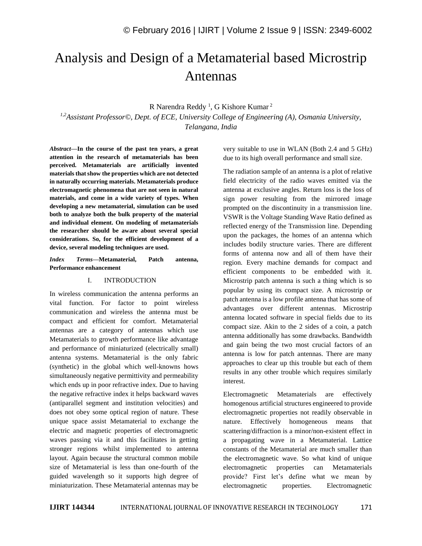# Analysis and Design of a Metamaterial based Microstrip Antennas

R Narendra Reddy<sup>1</sup>, G Kishore Kumar<sup>2</sup>

*1,2Assistant Professor©, Dept. of ECE, University College of Engineering (A), Osmania University, Telangana, India*

*Abstract—***In the course of the past ten years, a great attention in the research of metamaterials has been perceived. Metamaterials are artificially invented materials that show the properties which are not detected in naturally occurring materials. Metamaterials produce electromagnetic phenomena that are not seen in natural materials, and come in a wide variety of types. When developing a new metamaterial, simulation can be used both to analyze both the bulk property of the material and individual element. On modeling of metamaterials the researcher should be aware about several special considerations. So, for the efficient development of a device, several modeling techniques are used.**

*Index Terms—***Metamaterial, Patch antenna, Performance enhancement**

#### I. INTRODUCTION

In wireless communication the antenna performs an vital function. For factor to point wireless communication and wireless the antenna must be compact and efficient for comfort. Metamaterial antennas are a category of antennas which use Metamaterials to growth performance like advantage and performance of miniaturized (electrically small) antenna systems. Metamaterial is the only fabric (synthetic) in the global which well-knowns hows simultaneously negative permittivity and permeability which ends up in poor refractive index. Due to having the negative refractive index it helps backward waves (antiparallel segment and institution velocities) and does not obey some optical region of nature. These unique space assist Metamaterial to exchange the electric and magnetic properties of electromagnetic waves passing via it and this facilitates in getting stronger regions whilst implemented to antenna layout. Again because the structural common mobile size of Metamaterial is less than one-fourth of the guided wavelength so it supports high degree of miniaturization. These Metamaterial antennas may be

very suitable to use in WLAN (Both 2.4 and 5 GHz) due to its high overall performance and small size.

The radiation sample of an antenna is a plot of relative field electricity of the radio waves emitted via the antenna at exclusive angles. Return loss is the loss of sign power resulting from the mirrored image prompted on the discontinuity in a transmission line. VSWR is the Voltage Standing Wave Ratio defined as reflected energy of the Transmission line. Depending upon the packages, the homes of an antenna which includes bodily structure varies. There are different forms of antenna now and all of them have their region. Every machine demands for compact and efficient components to be embedded with it. Microstrip patch antenna is such a thing which is so popular by using its compact size. A microstrip or patch antenna is a low profile antenna that has some of advantages over different antennas. Microstrip antenna located software in special fields due to its compact size. Akin to the 2 sides of a coin, a patch antenna additionally has some drawbacks. Bandwidth and gain being the two most crucial factors of an antenna is low for patch antennas. There are many approaches to clear up this trouble but each of them results in any other trouble which requires similarly interest.

Electromagnetic Metamaterials are effectively homogenous artificial structures engineered to provide electromagnetic properties not readily observable in nature. Effectively homogeneous means that scattering/diffraction is a minor/non-existent effect in a propagating wave in a Metamaterial. Lattice constants of the Metamaterial are much smaller than the electromagnetic wave. So what kind of unique electromagnetic properties can Metamaterials provide? First let's define what we mean by electromagnetic properties. Electromagnetic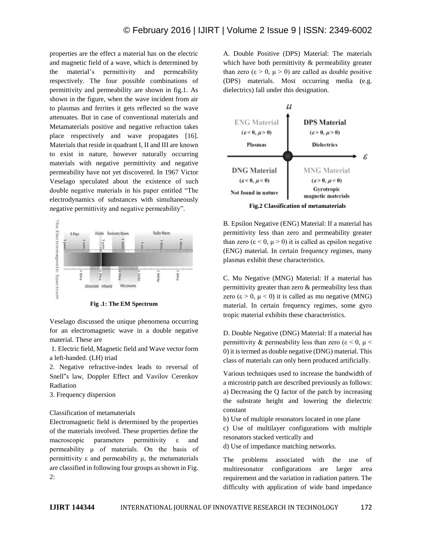properties are the effect a material has on the electric and magnetic field of a wave, which is determined by the material's permittivity and permeability respectively. The four possible combinations of permittivity and permeability are shown in fig.1. As shown in the figure, when the wave incident from air to plasmas and ferrites it gets reflected so the wave attenuates. But in case of conventional materials and Metamaterials positive and negative refraction takes place respectively and wave propagates [16]. Materials that reside in quadrant I, II and III are known to exist in nature, however naturally occurring materials with negative permittivity and negative permeability have not yet discovered. In 1967 Victor Veselago speculated about the existence of such double negative materials in his paper entitled "The electrodynamics of substances with simultaneously negative permittivity and negative permeability".



**Fig .1: The EM Spectrum**

Veselago discussed the unique phenomena occurring for an electromagnetic wave in a double negative material. These are

1. Electric field, Magnetic field and Wave vector form a left-handed. (LH) triad

2. Negative refractive-index leads to reversal of Snell"s law, Doppler Effect and Vavilov Cerenkov Radiation

3. Frequency dispersion

Classification of metamaterials

Electromagnetic field is determined by the properties of the materials involved. These properties define the macroscopic parameters permittivity ε and permeability μ of materials. On the basis of permittivity  $\varepsilon$  and permeability  $\mu$ , the metamaterials are classified in following four groups as shown in Fig. 2:

A. Double Positive (DPS) Material: The materials which have both permittivity & permeability greater than zero  $(\epsilon > 0, \mu > 0)$  are called as double positive (DPS) materials. Most occurring media (e.g. dielectrics) fall under this designation.



B. Epsilon Negative (ENG) Material: If a material has permittivity less than zero and permeability greater than zero  $(\epsilon < 0, \mu > 0)$  it is called as epsilon negative (ENG) material. In certain frequency regimes, many plasmas exhibit these characteristics.

C. Mu Negative (MNG) Material: If a material has permittivity greater than zero & permeability less than zero (ε > 0,  $\mu$  < 0) it is called as mu negative (MNG) material. In certain frequency regimes, some gyro tropic material exhibits these characteristics.

D. Double Negative (DNG) Material: If a material has permittivity & permeability less than zero ( $\varepsilon$  < 0,  $\mu$  < 0) it is termed as double negative (DNG) material. This class of materials can only been produced artificially.

Various techniques used to increase the bandwidth of a microstrip patch are described previously as follows: a) Decreasing the Q factor of the patch by increasing the substrate height and lowering the dielectric constant

b) Use of multiple resonators located in one plane

c) Use of multilayer configurations with multiple resonators stacked vertically and

d) Use of impedance matching networks.

The problems associated with the use of multiresonator configurations are larger area requirement and the variation in radiation pattern. The difficulty with application of wide band impedance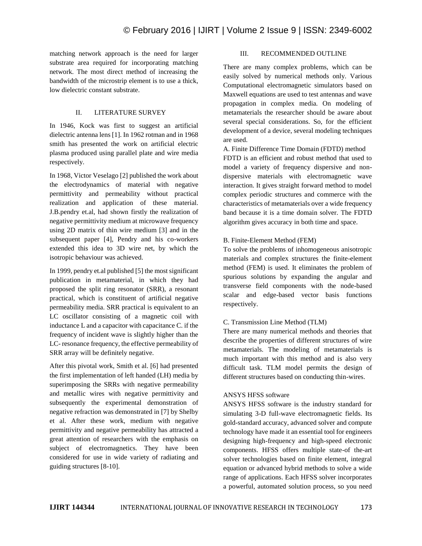matching network approach is the need for larger substrate area required for incorporating matching network. The most direct method of increasing the bandwidth of the microstrip element is to use a thick, low dielectric constant substrate.

## II. LITERATURE SURVEY

In 1946, Kock was first to suggest an artificial dielectric antenna lens [1]. In 1962 rotman and in 1968 smith has presented the work on artificial electric plasma produced using parallel plate and wire media respectively.

In 1968, Victor Veselago [2] published the work about the electrodynamics of material with negative permittivity and permeability without practical realization and application of these material. J.B.pendry et.al, had shown firstly the realization of negative permittivity medium at microwave frequency using 2D matrix of thin wire medium [3] and in the subsequent paper [4], Pendry and his co-workers extended this idea to 3D wire net, by which the isotropic behaviour was achieved.

In 1999, pendry et.al published [5] the most significant publication in metamaterial, in which they had proposed the split ring resonator (SRR), a resonant practical, which is constituent of artificial negative permeability media. SRR practical is equivalent to an LC oscillator consisting of a magnetic coil with inductance L and a capacitor with capacitance C. if the frequency of incident wave is slightly higher than the LC- resonance frequency, the effective permeability of SRR array will be definitely negative.

After this pivotal work, Smith et al. [6] had presented the first implementation of left handed (LH) media by superimposing the SRRs with negative permeability and metallic wires with negative permittivity and subsequently the experimental demonstration of negative refraction was demonstrated in [7] by Shelby et al. After these work, medium with negative permittivity and negative permeability has attracted a great attention of researchers with the emphasis on subject of electromagnetics. They have been considered for use in wide variety of radiating and guiding structures [8-10].

### III. RECOMMENDED OUTLINE

There are many complex problems, which can be easily solved by numerical methods only. Various Computational electromagnetic simulators based on Maxwell equations are used to test antennas and wave propagation in complex media. On modeling of metamaterials the researcher should be aware about several special considerations. So, for the efficient development of a device, several modeling techniques are used.

A. Finite Difference Time Domain (FDTD) method FDTD is an efficient and robust method that used to model a variety of frequency dispersive and nondispersive materials with electromagnetic wave interaction. It gives straight forward method to model complex periodic structures and commerce with the characteristics of metamaterials over a wide frequency band because it is a time domain solver. The FDTD algorithm gives accuracy in both time and space.

### B. Finite-Element Method (FEM)

To solve the problems of inhomogeneous anisotropic materials and complex structures the finite-element method (FEM) is used. It eliminates the problem of spurious solutions by expanding the angular and transverse field components with the node-based scalar and edge-based vector basis functions respectively.

# C. Transmission Line Method (TLM)

There are many numerical methods and theories that describe the properties of different structures of wire metamaterials. The modeling of metamaterials is much important with this method and is also very difficult task. TLM model permits the design of different structures based on conducting thin-wires.

### ANSYS HFSS software

ANSYS HFSS software is the industry standard for simulating 3-D full-wave electromagnetic fields. Its gold-standard accuracy, advanced solver and compute technology have made it an essential tool for engineers designing high-frequency and high-speed electronic components. HFSS offers multiple state-of the-art solver technologies based on finite element, integral equation or advanced hybrid methods to solve a wide range of applications. Each HFSS solver incorporates a powerful, automated solution process, so you need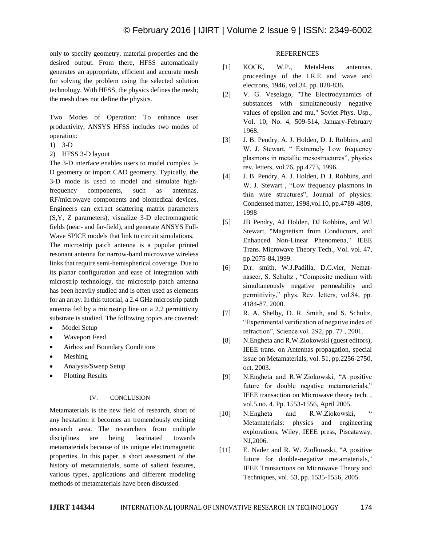only to specify geometry, material properties and the desired output. From there, HFSS automatically generates an appropriate, efficient and accurate mesh for solving the problem using the selected solution technology. With HFSS, the physics defines the mesh; the mesh does not define the physics.

Two Modes of Operation: To enhance user productivity, ANSYS HFSS includes two modes of operation:

- 1) 3-D
- 2) HFSS 3-D layout

The 3-D interface enables users to model complex 3- D geometry or import CAD geometry. Typically, the 3-D mode is used to model and simulate highfrequency components, such as antennas, RF/microwave components and biomedical devices. Engineers can extract scattering matrix parameters (S,Y, Z parameters), visualize 3-D electromagnetic fields (near- and far-field), and generate ANSYS Full-Wave SPICE models that link to circuit simulations.

The microstrip patch antenna is a popular printed resonant antenna for narrow-band microwave wireless links that require semi-hemispherical coverage. Due to its planar configuration and ease of integration with microstrip technology, the microstrip patch antenna has been heavily studied and is often used as elements for an array. In this tutorial, a 2.4 GHz microstrip patch antenna fed by a microstrip line on a 2.2 permittivity substrate is studied. The following topics are covered:

- Model Setup
- Waveport Feed
- Airbox and Boundary Conditions
- Meshing
- Analysis/Sweep Setup
- Plotting Results

#### IV. CONCLUSION

Metamaterials is the new field of research, short of any hesitation it becomes an tremendously exciting research area. The researchers from multiple disciplines are being fascinated towards metamaterials because of its unique electromagnetic properties. In this paper, a short assessment of the history of metamaterials, some of salient features, various types, applications and different modeling methods of metamaterials have been discussed.

#### **REFERENCES**

- [1] KOCK, W.P., Metal-lens antennas, proceedings of the I.R.E and wave and electrons, 1946, vol.34, pp. 828-836.
- [2] V. G. Veselago, "The Electrodynamics of substances with simultaneously negative values of epsilon and mu," Soviet Phys. Usp., Vol. 10, No. 4, 509-514, January-February 1968.
- [3] J. B. Pendry, A. J. Holden, D. J. Robbins, and W. J. Stewart, " Extremely Low frequency plasmons in metallic mesostructures", physics rev. letters, vol.76, pp.4773, 1996.
- [4] J. B. Pendry, A. J. Holden, D. J. Robbins, and W. J. Stewart , "Low frequency plasmons in thin wire structures", Journal of physics: Condensed matter, 1998,vol.10, pp.4789-4809, 1998
- [5] JB Pendry, AJ Holden, DJ Robbins, and WJ Stewart, "Magnetism from Conductors, and Enhanced Non-Linear Phenomena," IEEE Trans. Microwave Theory Tech., Vol. vol. 47, pp.2075-84,1999.
- [6] D.r. smith, W.J.Padilla, D.C.vier, Nematnaseer, S. Schultz , "Composite medium with simultaneously negative permeability and permittivity," phys. Rev. letters, vol.84, pp. 4184-87, 2000.
- [7] R. A. Shelby, D. R. Smith, and S. Schultz, "Experimental verification of negative index of refraction", Science vol. 292, pp. 77 , 2001.
- [8] N.Engheta and R.W.Ziokowski (guest editors), IEEE trans. on Antennas propagation, special issue on Metamaterials, vol. 51, pp.2256-2750, oct. 2003.
- [9] N.Engheta and R.W.Ziokowski, "A positive future for double negative metamaterials," IEEE transaction on Microwave theory tech. , vol.5.no. 4. Pp. 1553-1556, April 2005.
- [10] N.Engheta and R.W.Ziokowski, Metamaterials: physics and engineering explorations, Wiley, IEEE press, Piscataway, NJ,2006.
- [11] E. Nader and R. W. Ziolkowski, "A positive future for double-negative metamaterials," IEEE Transactions on Microwave Theory and Techniques, vol. 53, pp. 1535-1556, 2005.